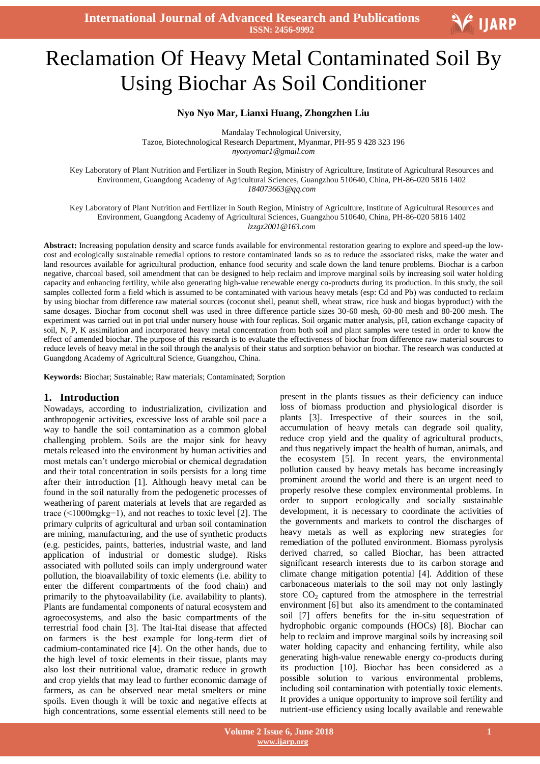**International Journal of Advanced Research and Publications ISSN: 2456-9992**

# Ξ Reclamation Of Heavy Metal Contaminated Soil By Using Biochar As Soil Conditioner

#### **Nyo Nyo Mar, Lianxi Huang, Zhongzhen Liu**

Mandalay Technological University, Tazoe, Biotechnological Research Department, Myanmar, PH-95 9 428 323 196 *nyonyomar1@gmail.com*

Key Laboratory of Plant Nutrition and Fertilizer in South Region, Ministry of Agriculture, Institute of Agricultural Resources and Environment, Guangdong Academy of Agricultural Sciences, Guangzhou 510640, China, PH-86-020 5816 1402 *[184073663@qq.com](mailto:184073663@qq.com)*

Key Laboratory of Plant Nutrition and Fertilizer in South Region, Ministry of Agriculture, Institute of Agricultural Resources and Environment, Guangdong Academy of Agricultural Sciences, Guangzhou 510640, China, PH-86-020 5816 1402 *lzzgz2001@163.com*

**Abstract:** Increasing population density and scarce funds available for environmental restoration gearing to explore and speed-up the lowcost and ecologically sustainable remedial options to restore contaminated lands so as to reduce the associated risks, make the water and land resources available for agricultural production, enhance food security and scale down the land tenure problems. Biochar is a [carbon](http://en.wikipedia.org/wiki/Carbon_negative)  [negative,](http://en.wikipedia.org/wiki/Carbon_negative) charcoal based, soil amendment that can be designed to help reclaim and improve marginal soils by increasing soil water holding capacity and enhancing fertility, while also generating high-value renewable energy co-products during its production. In this study, the soil samples collected form a field which is assumed to be contaminated with various heavy metals (esp: Cd and Pb) was conducted to reclaim by using biochar from difference raw material sources (coconut shell, peanut shell, wheat straw, rice husk and biogas byproduct) with the same dosages. Biochar from coconut shell was used in three difference particle sizes 30-60 mesh, 60-80 mesh and 80-200 mesh. The experiment was carried out in pot trial under nursery house with four replicas. Soil organic matter analysis, pH, cation exchange capacity of soil, N, P, K assimilation and incorporated heavy metal concentration from both soil and plant samples were tested in order to know the effect of amended biochar. The purpose of this research is to evaluate the effectiveness of biochar from difference raw material sources to reduce levels of heavy metal in the soil through the analysis of their status and sorption behavior on biochar. The research was conducted at Guangdong Academy of Agricultural Science, Guangzhou, China.

**Keywords:** Biochar; Sustainable; Raw materials; Contaminated; Sorption

#### **1. Introduction**

Nowadays, according to industrialization, civilization and anthropogenic activities, excessive loss of arable soil pace a way to handle the soil contamination as a common global challenging problem. Soils are the major sink for heavy metals released into the environment by human activities and most metals can"t undergo microbial or chemical degradation and their total concentration in soils persists for a long time after their introduction [1]. Although heavy metal can be found in the soil naturally from the pedogenetic processes of weathering of parent materials at levels that are regarded as trace (<1000mgkg−1), and not reaches to toxic level [2]. The primary culprits of agricultural and urban soil contamination are mining, manufacturing, and the use of synthetic products (e.g. pesticides, paints, batteries, industrial waste, and land application of industrial or domestic sludge). Risks associated with polluted soils can imply underground water pollution, the bioavailability of toxic elements (i.e. ability to enter the different compartments of the food chain) and primarily to the phytoavailability (i.e. availability to plants). Plants are fundamental components of natural ecosystem and agroecosystems, and also the basic compartments of the terrestrial food chain [3]. The Itai-Itai disease that affected on farmers is the best example for long-term diet of cadmium-contaminated rice [4]. On the other hands, due to the high level of toxic elements in their tissue, plants may also lost their nutritional value, dramatic reduce in growth and crop yields that may lead to further economic damage of farmers, as can be observed near metal smelters or mine spoils. Even though it will be toxic and negative effects at high concentrations, some essential elements still need to be

present in the plants tissues as their deficiency can induce loss of biomass production and physiological disorder is plants [3]. Irrespective of their sources in the soil, accumulation of heavy metals can degrade soil quality, reduce crop yield and the quality of agricultural products, and thus negatively impact the health of human, animals, and the ecosystem [5]. In recent years, the environmental pollution caused by heavy metals has become increasingly prominent around the world and there is an urgent need to properly resolve these complex environmental problems. In order to support ecologically and socially sustainable development, it is necessary to coordinate the activities of the governments and markets to control the discharges of heavy metals as well as exploring new strategies for remediation of the polluted environment. Biomass pyrolysis derived charred, so called Biochar, has been attracted significant research interests due to its carbon storage and climate change mitigation potential [4]. Addition of these carbonaceous materials to the soil may not only lastingly store  $CO<sub>2</sub>$  captured from the atmosphere in the terrestrial environment [6] but also its amendment to the contaminated soil [7] offers benefits for the in-situ sequestration of hydrophobic organic compounds (HOCs) [8]. Biochar can help to reclaim and improve marginal soils by increasing soil water holding capacity and enhancing fertility, while also generating high-value renewable energy co-products during its production [10]. Biochar has been considered as a possible solution to various environmental problems, including soil contamination with potentially toxic elements. It provides a unique opportunity to improve soil fertility and nutrient-use efficiency using locally available and renewable

V IJARP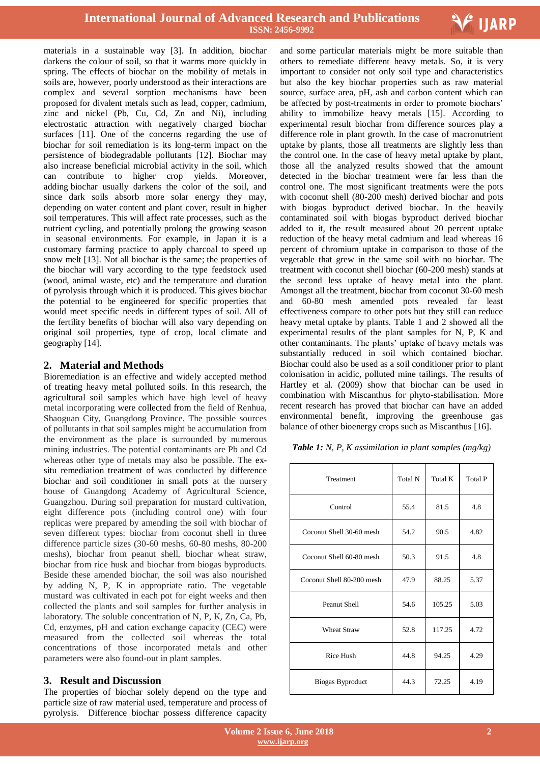

materials in a sustainable way [3]. In addition, biochar darkens the colour of soil, so that it warms more quickly in spring. The effects of biochar on the mobility of metals in soils are, however, poorly understood as their interactions are complex and several sorption mechanisms have been proposed for divalent metals such as lead, copper, cadmium, zinc and nickel (Pb, Cu, Cd, Zn and Ni), including electrostatic attraction with negatively charged biochar surfaces [11]. One of the concerns regarding the use of biochar for soil remediation is its long-term impact on the persistence of biodegradable pollutants [12]. Biochar may also increase [beneficial microbial activity](http://www.lawn-care-academy.com/soil-microorganisms.html) in the soil, which can contribute to higher crop yields. Moreover, adding biochar usually darkens the color of the soil, and since dark soils absorb more solar energy they may, depending on water content and plant cover, result in higher soil temperatures. This will affect rate processes, such as the [nutrient cycling,](http://en.wikipedia.org/wiki/Biogeochemical_cycle) and potentially prolong the growing season in seasonal environments. For example, in Japan it is a customary farming practice to apply charcoal to speed up snow melt [13]. Not all biochar is the same; the properties of the biochar will vary according to the type feedstock used (wood, animal waste, etc) and the temperature and duration of [pyrolysis](http://www.diacarbon.com/the-technology.php) through which it is produced. This gives biochar the potential to be engineered for specific properties that would meet specific needs in different types of soil. All of the fertility benefits of biochar will also vary depending on original soil properties, type of crop, local climate and geography [14].

# **2. Material and Methods**

Bioremediation is an effective and widely accepted method of treating heavy metal polluted soils. In this research, the agricultural soil samples which have high level of heavy metal incorporating were collected from the field of Renhua, Shaoguan City, Guangdong Province. The possible sources of pollutants in that soil samples might be accumulation from the environment as the place is surrounded by numerous mining industries. The potential contaminants are Pb and Cd whereas other type of metals may also be possible. The exsitu remediation treatment of was conducted by difference biochar and soil conditioner in small pots at the nursery house of Guangdong Academy of Agricultural Science, Guangzhou. During soil preparation for mustard cultivation, eight difference pots (including control one) with four replicas were prepared by amending the soil with biochar of seven different types: biochar from coconut shell in three difference particle sizes (30-60 meshs, 60-80 meshs, 80-200 meshs), biochar from peanut shell, biochar wheat straw, biochar from rice husk and biochar from biogas byproducts. Beside these amended biochar, the soil was also nourished by adding N, P, K in appropriate ratio. The vegetable mustard was cultivated in each pot for eight weeks and then collected the plants and soil samples for further analysis in laboratory. The soluble concentration of N, P, K, Zn, Ca, Pb, Cd, enzymes, pH and cation exchange capacity (CEC) were measured from the collected soil whereas the total concentrations of those incorporated metals and other parameters were also found-out in plant samples.

# **3. Result and Discussion**

The properties of biochar solely depend on the type and particle size of raw material used, temperature and process of pyrolysis. Difference biochar possess difference capacity

 and some particular materials might be more suitable than others to remediate different heavy metals. So, it is very important to consider not only soil type and characteristics but also the key biochar properties such as raw material source, surface area, pH, ash and carbon content which can be affected by post-treatments in order to promote biochars' ability to immobilize heavy metals [15]. According to experimental result biochar from difference sources play a difference role in plant growth. In the case of macronutrient uptake by plants, those all treatments are slightly less than the control one. In the case of heavy metal uptake by plant, those all the analyzed results showed that the amount detected in the biochar treatment were far less than the control one. The most significant treatments were the pots with coconut shell (80-200 mesh) derived biochar and pots with biogas byproduct derived biochar. In the heavily contaminated soil with biogas byproduct derived biochar added to it, the result measured about 20 percent uptake reduction of the heavy metal cadmium and lead whereas 16 percent of chromium uptake in comparison to those of the vegetable that grew in the same soil with no biochar. The treatment with coconut shell biochar (60-200 mesh) stands at the second less uptake of heavy metal into the plant. Amongst all the treatment, biochar from coconut 30-60 mesh and 60-80 mesh amended pots revealed far least effectiveness compare to other pots but they still can reduce heavy metal uptake by plants. Table 1 and 2 showed all the experimental results of the plant samples for N, P, K and other contaminants. The plants" uptake of heavy metals was substantially reduced in soil which contained biochar. Biochar could also be used as a soil conditioner prior to plant colonisation in acidic, polluted mine tailings. The results of Hartley et al. (2009) show that biochar can be used in combination with Miscanthus for phyto-stabilisation. More recent research has proved that biochar can have an added environmental benefit, improving the greenhouse gas balance of other bioenergy crops such as Miscanthus [16].

| Table 1: N, P, K assimilation in plant samples (mg/kg) |  |  |  |
|--------------------------------------------------------|--|--|--|
|--------------------------------------------------------|--|--|--|

| Treatment                 | Total N | Total K | Total P |
|---------------------------|---------|---------|---------|
| Control                   | 55.4    | 81.5    | 4.8     |
| Coconut Shell 30-60 mesh  | 54.2    | 90.5    | 4.82    |
| Coconut Shell 60-80 mesh  | 50.3    | 91.5    | 4.8     |
| Coconut Shell 80-200 mesh | 47.9    | 88.25   | 5.37    |
| Peanut Shell              | 54.6    | 105.25  | 5.03    |
| <b>Wheat Straw</b>        | 52.8    | 117.25  | 4.72    |
| <b>Rice Hush</b>          | 44.8    | 94.25   | 4.29    |
| Biogas Byproduct          | 44.3    | 72.25   | 4.19    |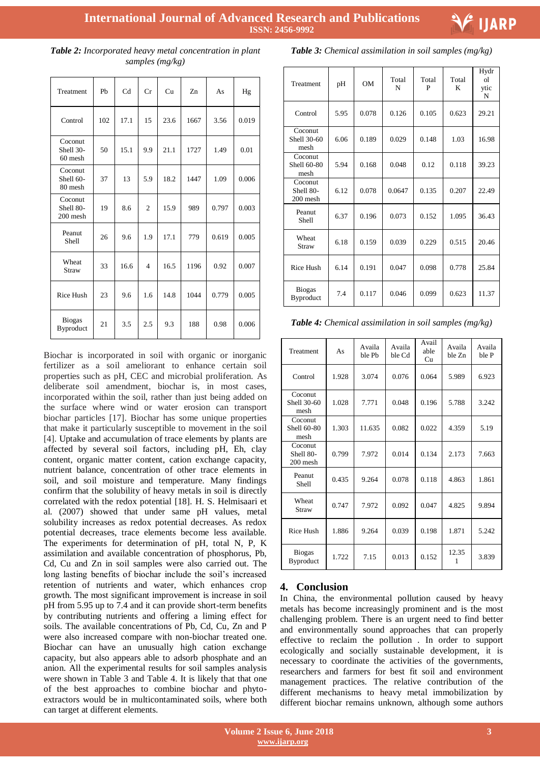

| <b>Table 2:</b> Incorporated heavy metal concentration in plant |  |
|-----------------------------------------------------------------|--|
| samples $(mg/kg)$                                               |  |

| Treatment                        | Ph  | C <sub>d</sub> | Cr             | Cu   | Zn   | As    | Hg    |
|----------------------------------|-----|----------------|----------------|------|------|-------|-------|
| Control                          | 102 | 17.1           | 15             | 23.6 | 1667 | 3.56  | 0.019 |
| Coconut<br>Shell 30-<br>60 mesh  | 50  | 15.1           | 9.9            | 21.1 | 1727 | 1.49  | 0.01  |
| Coconut<br>Shell 60-<br>80 mesh  | 37  | 13             | 5.9            | 18.2 | 1447 | 1.09  | 0.006 |
| Coconut<br>Shell 80-<br>200 mesh | 19  | 8.6            | $\mathcal{L}$  | 15.9 | 989  | 0.797 | 0.003 |
| Peanut<br>Shell                  | 26  | 9.6            | 1.9            | 17.1 | 779  | 0.619 | 0.005 |
| Wheat<br><b>Straw</b>            | 33  | 16.6           | $\overline{4}$ | 16.5 | 1196 | 0.92  | 0.007 |
| <b>Rice Hush</b>                 | 23  | 9.6            | 1.6            | 14.8 | 1044 | 0.779 | 0.005 |
| <b>Biogas</b><br>Byproduct       | 21  | 3.5            | 2.5            | 9.3  | 188  | 0.98  | 0.006 |

Biochar is incorporated in soil with organic or inorganic fertilizer as a soil ameliorant to enhance certain soil properties such as pH, CEC and microbial proliferation. As deliberate soil amendment, biochar is, in most cases, incorporated within the soil, rather than just being added on the surface where wind or water erosion can transport biochar particles [17]. Biochar has some unique properties that make it particularly susceptible to movement in the soil [4]. Uptake and accumulation of trace elements by plants are affected by several soil factors, including pH, Eh, clay content, organic matter content, cation exchange capacity, nutrient balance, concentration of other trace elements in soil, and soil moisture and temperature. Many findings confirm that the solubility of heavy metals in soil is directly correlated with the redox potential [18]. H. S. Helmisaari et al. (2007) showed that under same pH values, metal solubility increases as redox potential decreases. As redox potential decreases, trace elements become less available. The experiments for determination of pH, total N, P, K assimilation and available concentration of phosphorus, Pb, Cd, Cu and Zn in soil samples were also carried out. The long lasting benefits of biochar include the soil"s increased retention of nutrients and water, which enhances crop growth. The most significant improvement is increase in soil pH from 5.95 up to 7.4 and it can provide short-term benefits by contributing nutrients and offering a liming effect for soils. The available concentrations of Pb, Cd, Cu, Zn and P were also increased compare with non-biochar treated one. Biochar can have an unusually high cation exchange capacity, but also appears able to adsorb phosphate and an anion. All the experimental results for soil samples analysis were shown in Table 3 and Table 4. It is likely that that one of the best approaches to combine biochar and phytoextractors would be in multicontaminated soils, where both can target at different elements.

*Table 3: Chemical assimilation in soil samples (mg/kg)*

| Treatment                        | pH   | OM    | Total<br>N | Total<br>P | Total<br>K | Hydr<br>οl<br>ytic<br>N |
|----------------------------------|------|-------|------------|------------|------------|-------------------------|
| Control                          | 5.95 | 0.078 | 0.126      | 0.105      | 0.623      | 29.21                   |
| Coconut<br>Shell 30-60<br>mesh   | 6.06 | 0.189 | 0.029      | 0.148      | 1.03       | 16.98                   |
| Coconut<br>Shell 60-80<br>mesh   | 5.94 | 0.168 | 0.048      | 0.12       | 0.118      | 39.23                   |
| Coconut<br>Shell 80-<br>200 mesh | 6.12 | 0.078 | 0.0647     | 0.135      | 0.207      | 22.49                   |
| Peanut<br><b>Shell</b>           | 6.37 | 0.196 | 0.073      | 0.152      | 1.095      | 36.43                   |
| Wheat<br>Straw                   | 6.18 | 0.159 | 0.039      | 0.229      | 0.515      | 20.46                   |
| <b>Rice Hush</b>                 | 6.14 | 0.191 | 0.047      | 0.098      | 0.778      | 25.84                   |
| <b>Biogas</b><br>Byproduct       | 7.4  | 0.117 | 0.046      | 0.099      | 0.623      | 11.37                   |

*Table 4: Chemical assimilation in soil samples (mg/kg)*

| Treatment                          | As    | Availa<br>ble Ph | Availa<br>ble Cd | Avail<br>able<br>Cu | Availa<br>ble Zn | Availa<br>ble P |
|------------------------------------|-------|------------------|------------------|---------------------|------------------|-----------------|
| Control                            | 1.928 | 3.074            | 0.076            | 0.064               | 5.989            | 6.923           |
| Coconut<br>Shell 30-60<br>mesh     | 1.028 | 7.771            | 0.048            | 0.196               | 5.788            | 3.242           |
| Coconut<br>Shell 60-80<br>mesh     | 1.303 | 11.635           | 0.082            | 0.022               | 4.359            | 5.19            |
| Coconut<br>Shell 80-<br>$200$ mesh | 0.799 | 7.972            | 0.014            | 0.134               | 2.173            | 7.663           |
| Peanut<br><b>Shell</b>             | 0.435 | 9.264            | 0.078            | 0.118               | 4.863            | 1.861           |
| Wheat<br>Straw                     | 0.747 | 7.972            | 0.092            | 0.047               | 4.825            | 9.894           |
| <b>Rice Hush</b>                   | 1.886 | 9.264            | 0.039            | 0.198               | 1.871            | 5.242           |
| <b>Biogas</b><br><b>Byproduct</b>  | 1.722 | 7.15             | 0.013            | 0.152               | 12.35<br>1       | 3.839           |

# **4. Conclusion**

In China, the environmental pollution caused by heavy metals has become increasingly prominent and is the most challenging problem. There is an urgent need to find better and environmentally sound approaches that can properly effective to reclaim the pollution . In order to support ecologically and socially sustainable development, it is necessary to coordinate the activities of the governments, researchers and farmers for best fit soil and environment management practices. The relative contribution of the different mechanisms to heavy metal immobilization by different biochar remains unknown, although some authors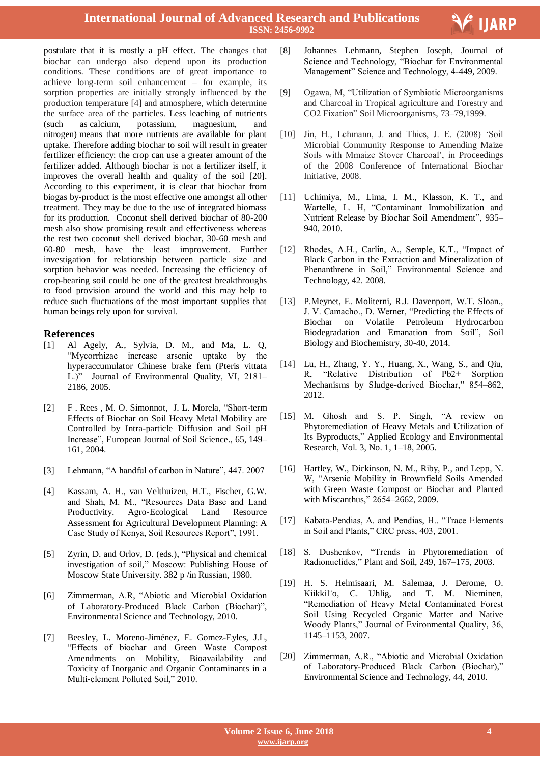

postulate that it is mostly a pH effect. The changes that biochar can undergo also depend upon its production conditions. These conditions are of great importance to achieve long-term soil enhancement – for example, its sorption properties are initially strongly influenced by the production temperature [4] and atmosphere, which determine the surface area of the particles. Less leaching of nutrients (such as calcium, potassium, magnesium, and nitrogen) means that more nutrients are available for plant uptake. Therefore adding biochar to soil will result in greater fertilizer efficiency: the crop can use a greater amount of the fertilizer added. Although biochar is not a fertilizer itself, it improves the overall health and quality of the soil [20]. According to this experiment, it is clear that biochar from biogas by-product is the most effective one amongst all other treatment. They may be due to the use of integrated biomass for its production. Coconut shell derived biochar of 80-200 mesh also show promising result and effectiveness whereas the rest two coconut shell derived biochar, 30-60 mesh and 60-80 mesh, have the least improvement. Further investigation for relationship between particle size and sorption behavior was needed. Increasing the efficiency of crop-bearing soil could be one of the greatest breakthroughs to food provision around the world and this may help to reduce such fluctuations of the most important supplies that human beings rely upon for survival.

## **References**

- [1] Al Agely, A., Sylvia, D. M., and Ma, L. Q, "Mycorrhizae increase arsenic uptake by the hyperaccumulator Chinese brake fern (Pteris vittata L.)" Journal of Environmental Quality, VI, 2181– 2186, 2005.
- [2] F . Rees , M. O. Simonnot, J. L. Morela, "Short-term Effects of Biochar on Soil Heavy Metal Mobility are Controlled by Intra-particle Diffusion and Soil pH Increase", European Journal of Soil Science., 65, 149– 161, 2004.
- [3] Lehmann, "A handful of carbon in Nature", 447. 2007
- [4] Kassam, A. H., van Velthuizen, H.T., Fischer, G.W. and Shah, M. M., "Resources Data Base and Land Productivity. Agro-Ecological Land Resource Assessment for Agricultural Development Planning: A Case Study of Kenya, Soil Resources Report", 1991.
- [5] Zyrin, D. and Orlov, D. (eds.), "Physical and chemical investigation of soil," Moscow: Publishing House of Moscow State University. 382 p /in Russian, 1980.
- [6] Zimmerman, A.R, "Abiotic and Microbial Oxidation of Laboratory-Produced Black Carbon (Biochar)", Environmental Science and Technology, 2010.
- [7] Beesley, L. Moreno-Jiménez, E. Gomez-Eyles, J.L, "Effects of biochar and Green Waste Compost Amendments on Mobility, Bioavailability and Toxicity of Inorganic and Organic Contaminants in a Multi-element Polluted Soil," 2010.
- [8] Johannes Lehmann, Stephen Joseph, Journal of Science and Technology, "Biochar for Environmental Management" Science and Technology, 4-449, 2009.
- [9] Ogawa, M, "Utilization of Symbiotic Microorganisms and Charcoal in Tropical agriculture and Forestry and CO2 Fixation" Soil Microorganisms, 73–79,1999.
- [10] Jin, H., Lehmann, J. and Thies, J. E. (2008) "Soil Microbial Community Response to Amending Maize Soils with Mmaize Stover Charcoal', in Proceedings of the 2008 Conference of International Biochar Initiative, 2008.
- [11] Uchimiya, M., Lima, I. M., Klasson, K. T., and Wartelle, L. H, "Contaminant Immobilization and Nutrient Release by Biochar Soil Amendment", 935– 940, 2010.
- [12] Rhodes, A.H., Carlin, A., Semple, K.T., "Impact of Black Carbon in the Extraction and Mineralization of Phenanthrene in Soil," Environmental Science and Technology, 42. 2008.
- [13] P.Meynet, E. Moliterni, R.J. Davenport, W.T. Sloan., J. V. Camacho., D. Werner, "Predicting the Effects of Biochar on Volatile Petroleum Hydrocarbon Biodegradation and Emanation from Soil", Soil Biology and Biochemistry, 30-40, 2014.
- [14] Lu, H., Zhang, Y. Y., Huang, X., Wang, S., and Oiu, R, "Relative Distribution of Pb2+ Sorption Mechanisms by Sludge-derived Biochar," 854–862, 2012.
- [15] M. Ghosh and S. P. Singh, "A review on Phytoremediation of Heavy Metals and Utilization of Its Byproducts," Applied Ecology and Environmental Research, Vol. 3, No. 1, 1–18, 2005.
- [16] Hartley, W., Dickinson, N. M., Riby, P., and Lepp, N. W, "Arsenic Mobility in Brownfield Soils Amended with Green Waste Compost or Biochar and Planted with Miscanthus," 2654–2662, 2009.
- [17] Kabata-Pendias, A. and Pendias, H.. "Trace Elements in Soil and Plants," CRC press, 403, 2001.
- [18] S. Dushenkov, "Trends in Phytoremediation of Radionuclides," Plant and Soil, 249, 167–175, 2003.
- [19] H. S. Helmisaari, M. Salemaa, J. Derome, O. Kiikkil<sup>"</sup>o, C. Uhlig, and T. M. Nieminen, "Remediation of Heavy Metal Contaminated Forest Soil Using Recycled Organic Matter and Native Woody Plants," Journal of Evironmental Quality, 36, 1145–1153, 2007.
- [20] Zimmerman, A.R., "Abiotic and Microbial Oxidation of Laboratory-Produced Black Carbon (Biochar)," Environmental Science and Technology, 44, 2010.